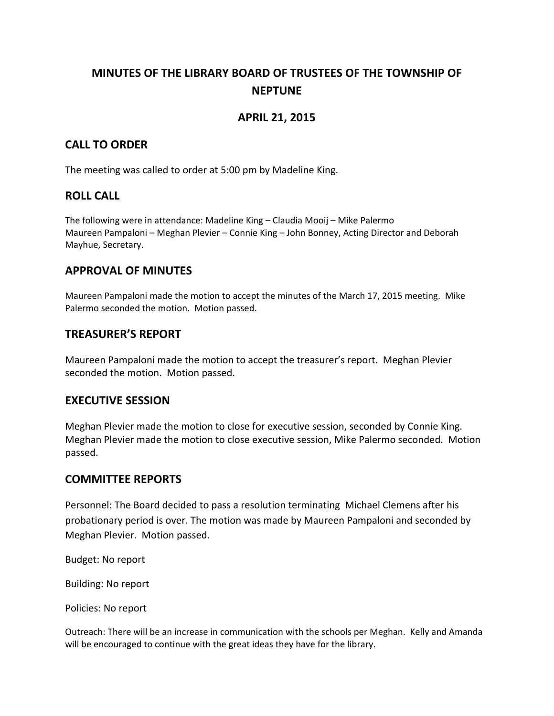# **MINUTES OF THE LIBRARY BOARD OF TRUSTEES OF THE TOWNSHIP OF NEPTUNE**

## **APRIL 21, 2015**

## **CALL TO ORDER**

The meeting was called to order at 5:00 pm by Madeline King.

#### **ROLL CALL**

The following were in attendance: Madeline King – Claudia Mooij – Mike Palermo Maureen Pampaloni – Meghan Plevier – Connie King – John Bonney, Acting Director and Deborah Mayhue, Secretary.

#### **APPROVAL OF MINUTES**

Maureen Pampaloni made the motion to accept the minutes of the March 17, 2015 meeting. Mike Palermo seconded the motion. Motion passed.

## **TREASURER'S REPORT**

Maureen Pampaloni made the motion to accept the treasurer's report. Meghan Plevier seconded the motion. Motion passed.

#### **EXECUTIVE SESSION**

Meghan Plevier made the motion to close for executive session, seconded by Connie King. Meghan Plevier made the motion to close executive session, Mike Palermo seconded. Motion passed.

#### **COMMITTEE REPORTS**

Personnel: The Board decided to pass a resolution terminating Michael Clemens after his probationary period is over. The motion was made by Maureen Pampaloni and seconded by Meghan Plevier. Motion passed.

Budget: No report

Building: No report

Policies: No report

Outreach: There will be an increase in communication with the schools per Meghan. Kelly and Amanda will be encouraged to continue with the great ideas they have for the library.